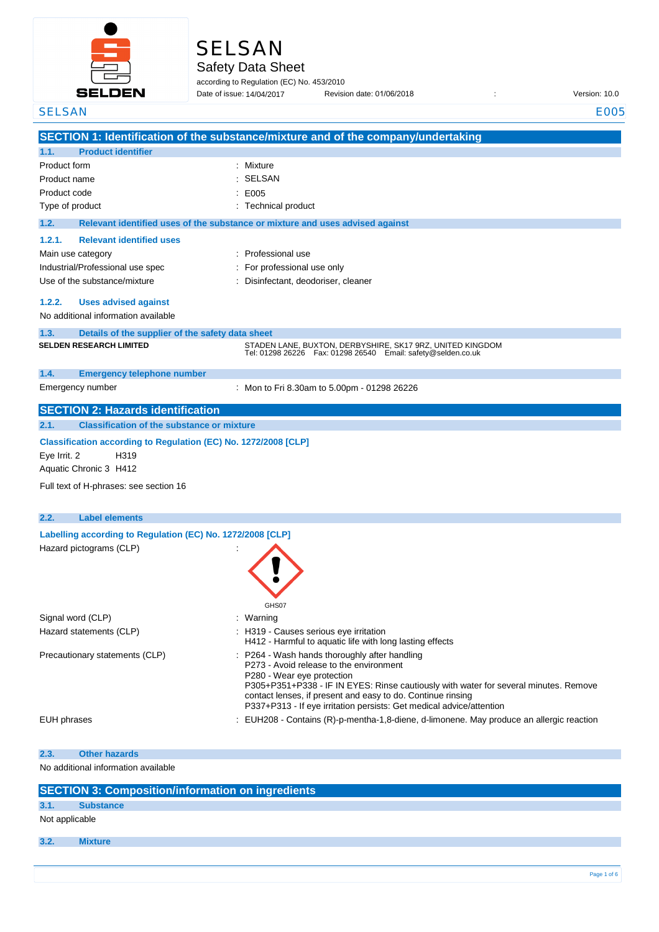

# SELSAN

Safety Data Sheet

according to Regulation (EC) No. 453/2010 Date of issue: Revision date: 01/06/2018 : Version: 10.0 Date of issue: 14/04/2017

| <b>SELSAN</b>                                                   | <b>E005</b>                                                                                                                         |
|-----------------------------------------------------------------|-------------------------------------------------------------------------------------------------------------------------------------|
|                                                                 | SECTION 1: Identification of the substance/mixture and of the company/undertaking                                                   |
| 1.1.<br><b>Product identifier</b>                               |                                                                                                                                     |
| Product form                                                    | : Mixture                                                                                                                           |
| Product name                                                    | SELSAN                                                                                                                              |
| Product code                                                    | E005                                                                                                                                |
| Type of product                                                 | : Technical product                                                                                                                 |
| 1.2.                                                            | Relevant identified uses of the substance or mixture and uses advised against                                                       |
| 1.2.1.<br><b>Relevant identified uses</b>                       |                                                                                                                                     |
| Main use category                                               | Professional use                                                                                                                    |
| Industrial/Professional use spec                                | For professional use only                                                                                                           |
| Use of the substance/mixture                                    | Disinfectant, deodoriser, cleaner                                                                                                   |
| 1.2.2.<br><b>Uses advised against</b>                           |                                                                                                                                     |
| No additional information available                             |                                                                                                                                     |
| 1.3.<br>Details of the supplier of the safety data sheet        |                                                                                                                                     |
| <b>SELDEN RESEARCH LIMITED</b>                                  | STADEN LANE, BUXTON, DERBYSHIRE, SK17 9RZ, UNITED KINGDOM                                                                           |
|                                                                 | Tel: 01298 26226    Fax: 01298 26540    Email: safety@selden.co.uk                                                                  |
| 1.4.<br><b>Emergency telephone number</b>                       |                                                                                                                                     |
| Emergency number                                                | : Mon to Fri 8.30am to 5.00pm - 01298 26226                                                                                         |
|                                                                 |                                                                                                                                     |
| <b>SECTION 2: Hazards identification</b>                        |                                                                                                                                     |
| 2.1.<br><b>Classification of the substance or mixture</b>       |                                                                                                                                     |
| Classification according to Regulation (EC) No. 1272/2008 [CLP] |                                                                                                                                     |
| H319<br>Eye Irrit. 2                                            |                                                                                                                                     |
| Aquatic Chronic 3 H412                                          |                                                                                                                                     |
| Full text of H-phrases: see section 16                          |                                                                                                                                     |
|                                                                 |                                                                                                                                     |
| 2.2.<br><b>Label elements</b>                                   |                                                                                                                                     |
| Labelling according to Regulation (EC) No. 1272/2008 [CLP]      |                                                                                                                                     |
| Hazard pictograms (CLP)                                         |                                                                                                                                     |
|                                                                 |                                                                                                                                     |
|                                                                 |                                                                                                                                     |
|                                                                 |                                                                                                                                     |
|                                                                 | GHS07                                                                                                                               |
| Signal word (CLP)                                               | Warning                                                                                                                             |
| Hazard statements (CLP)                                         | H319 - Causes serious eye irritation                                                                                                |
|                                                                 | H412 - Harmful to aquatic life with long lasting effects                                                                            |
| Precautionary statements (CLP)                                  | : P264 - Wash hands thoroughly after handling<br>P273 - Avoid release to the environment                                            |
|                                                                 | P280 - Wear eye protection                                                                                                          |
|                                                                 | P305+P351+P338 - IF IN EYES: Rinse cautiously with water for several minutes. Remove                                                |
|                                                                 | contact lenses, if present and easy to do. Continue rinsing<br>P337+P313 - If eye irritation persists: Get medical advice/attention |
| <b>EUH</b> phrases                                              | EUH208 - Contains (R)-p-mentha-1,8-diene, d-limonene. May produce an allergic reaction                                              |
|                                                                 |                                                                                                                                     |
| 2.3.<br><b>Other hazards</b>                                    |                                                                                                                                     |
| No additional information available                             |                                                                                                                                     |
|                                                                 |                                                                                                                                     |
| <b>SECTION 3: Composition/information on ingredients</b>        |                                                                                                                                     |
| 3.1.<br><b>Substance</b>                                        |                                                                                                                                     |

Not applicable

**3.2. Mixture**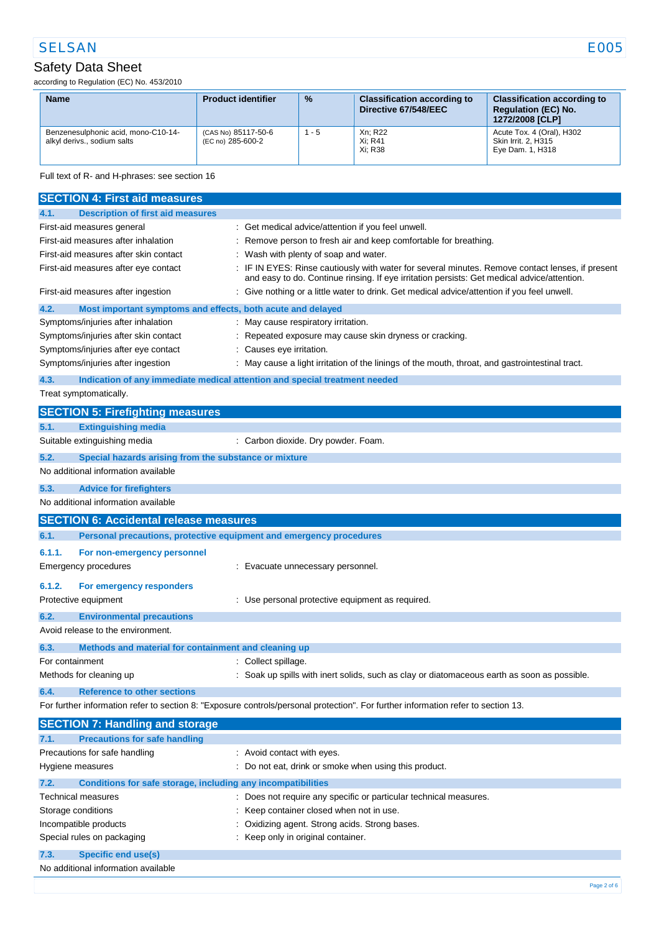## Safety Data Sheet

according to Regulation (EC) No. 453/2010

| <b>Name</b>                                                        | <b>Product identifier</b>                | $\frac{9}{6}$ | <b>Classification according to</b><br>Directive 67/548/EEC | <b>Classification according to</b><br><b>Regulation (EC) No.</b><br>1272/2008 [CLP] |
|--------------------------------------------------------------------|------------------------------------------|---------------|------------------------------------------------------------|-------------------------------------------------------------------------------------|
| Benzenesulphonic acid, mono-C10-14-<br>alkyl derivs., sodium salts | (CAS No) 85117-50-6<br>(EC no) 285-600-2 | $1 - 5$       | Xn; R22<br>Xi: R41<br>Xi: R38                              | Acute Tox. 4 (Oral), H302<br>Skin Irrit. 2. H315<br>Eye Dam. 1, H318                |

#### Full text of R- and H-phrases: see section 16

|                                                                       | <b>SECTION 4: First aid measures</b>                                |                                                                                                                                                                                               |
|-----------------------------------------------------------------------|---------------------------------------------------------------------|-----------------------------------------------------------------------------------------------------------------------------------------------------------------------------------------------|
| 4.1.                                                                  | <b>Description of first aid measures</b>                            |                                                                                                                                                                                               |
|                                                                       | First-aid measures general                                          | : Get medical advice/attention if you feel unwell.                                                                                                                                            |
|                                                                       | First-aid measures after inhalation                                 | : Remove person to fresh air and keep comfortable for breathing.                                                                                                                              |
|                                                                       | First-aid measures after skin contact                               | : Wash with plenty of soap and water.                                                                                                                                                         |
|                                                                       | First-aid measures after eye contact                                | IF IN EYES: Rinse cautiously with water for several minutes. Remove contact lenses, if present<br>and easy to do. Continue rinsing. If eye irritation persists: Get medical advice/attention. |
|                                                                       | First-aid measures after ingestion                                  | Give nothing or a little water to drink. Get medical advice/attention if you feel unwell.                                                                                                     |
| 4.2.                                                                  | Most important symptoms and effects, both acute and delayed         |                                                                                                                                                                                               |
|                                                                       | Symptoms/injuries after inhalation                                  | : May cause respiratory irritation.                                                                                                                                                           |
|                                                                       | Symptoms/injuries after skin contact                                | : Repeated exposure may cause skin dryness or cracking.                                                                                                                                       |
|                                                                       | Symptoms/injuries after eye contact                                 | : Causes eye irritation.                                                                                                                                                                      |
|                                                                       | Symptoms/injuries after ingestion                                   | : May cause a light irritation of the linings of the mouth, throat, and gastrointestinal tract.                                                                                               |
| 4.3.                                                                  |                                                                     | Indication of any immediate medical attention and special treatment needed                                                                                                                    |
|                                                                       | Treat symptomatically.                                              |                                                                                                                                                                                               |
|                                                                       | <b>SECTION 5: Firefighting measures</b>                             |                                                                                                                                                                                               |
| 5.1.                                                                  | <b>Extinguishing media</b>                                          |                                                                                                                                                                                               |
|                                                                       | Suitable extinguishing media                                        | : Carbon dioxide. Dry powder. Foam.                                                                                                                                                           |
| 5.2.                                                                  | Special hazards arising from the substance or mixture               |                                                                                                                                                                                               |
|                                                                       | No additional information available                                 |                                                                                                                                                                                               |
| 5.3.                                                                  | <b>Advice for firefighters</b>                                      |                                                                                                                                                                                               |
|                                                                       | No additional information available                                 |                                                                                                                                                                                               |
|                                                                       | <b>SECTION 6: Accidental release measures</b>                       |                                                                                                                                                                                               |
| 6.1.                                                                  | Personal precautions, protective equipment and emergency procedures |                                                                                                                                                                                               |
| 6.1.1.                                                                | For non-emergency personnel                                         |                                                                                                                                                                                               |
|                                                                       | <b>Emergency procedures</b>                                         | : Evacuate unnecessary personnel.                                                                                                                                                             |
| 6.1.2.                                                                | For emergency responders                                            |                                                                                                                                                                                               |
|                                                                       | Protective equipment                                                | : Use personal protective equipment as required.                                                                                                                                              |
| 6.2.                                                                  | <b>Environmental precautions</b>                                    |                                                                                                                                                                                               |
|                                                                       | Avoid release to the environment.                                   |                                                                                                                                                                                               |
| 6.3.                                                                  | Methods and material for containment and cleaning up                |                                                                                                                                                                                               |
| For containment                                                       |                                                                     | : Collect spillage.                                                                                                                                                                           |
|                                                                       | Methods for cleaning up                                             | : Soak up spills with inert solids, such as clay or diatomaceous earth as soon as possible.                                                                                                   |
| 6.4.                                                                  | <b>Reference to other sections</b>                                  |                                                                                                                                                                                               |
|                                                                       |                                                                     | For further information refer to section 8: "Exposure controls/personal protection". For further information refer to section 13.                                                             |
|                                                                       | <b>SECTION 7: Handling and storage</b>                              |                                                                                                                                                                                               |
| 7.1.                                                                  | <b>Precautions for safe handling</b>                                |                                                                                                                                                                                               |
|                                                                       | Precautions for safe handling                                       | : Avoid contact with eyes.                                                                                                                                                                    |
|                                                                       | Hygiene measures                                                    | : Do not eat, drink or smoke when using this product.                                                                                                                                         |
| 7.2.                                                                  | Conditions for safe storage, including any incompatibilities        |                                                                                                                                                                                               |
|                                                                       | Technical measures                                                  | : Does not require any specific or particular technical measures.                                                                                                                             |
| Storage conditions<br>Keep container closed when not in use.          |                                                                     |                                                                                                                                                                                               |
| Incompatible products<br>Oxidizing agent. Strong acids. Strong bases. |                                                                     |                                                                                                                                                                                               |
|                                                                       | Special rules on packaging                                          | : Keep only in original container.                                                                                                                                                            |
| 7.3.                                                                  | <b>Specific end use(s)</b>                                          |                                                                                                                                                                                               |
|                                                                       | No additional information available                                 |                                                                                                                                                                                               |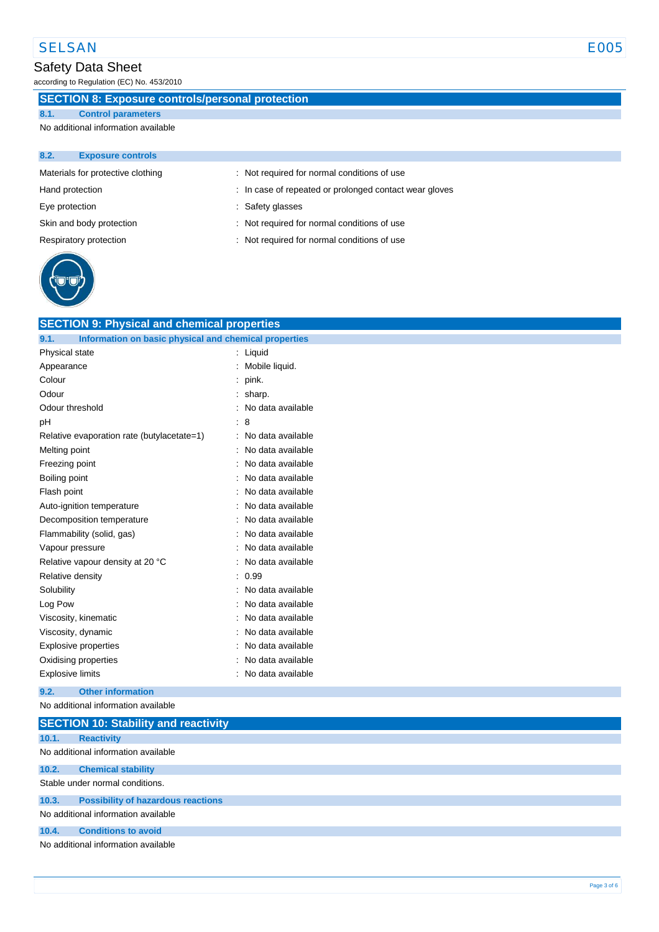## Safety Data Sheet

according to Regulation (EC) No. 453/2010

## **SECTION 8: Exposure controls/personal protection**

**8.1. Control parameters**

No additional information available

| 8.2.            | <b>Exposure controls</b>          |                                                        |
|-----------------|-----------------------------------|--------------------------------------------------------|
|                 | Materials for protective clothing | : Not required for normal conditions of use            |
| Hand protection |                                   | : In case of repeated or prolonged contact wear gloves |
| Eye protection  |                                   | : Safety glasses                                       |
|                 | Skin and body protection          | : Not required for normal conditions of use            |
|                 | Respiratory protection            | : Not required for normal conditions of use            |
|                 |                                   |                                                        |



| <b>SECTION 9: Physical and chemical properties</b>            |                   |
|---------------------------------------------------------------|-------------------|
| Information on basic physical and chemical properties<br>9.1. |                   |
| Physical state                                                | Liquid            |
| Appearance                                                    | Mobile liquid.    |
| Colour                                                        | pink.             |
| Odour                                                         | sharp.            |
| Odour threshold                                               | No data available |
| рH                                                            | 8                 |
| Relative evaporation rate (butylacetate=1)                    | No data available |
| Melting point                                                 | No data available |
| Freezing point                                                | No data available |
| Boiling point                                                 | No data available |
| Flash point                                                   | No data available |
| Auto-ignition temperature                                     | No data available |
| Decomposition temperature                                     | No data available |
| Flammability (solid, gas)                                     | No data available |
| Vapour pressure                                               | No data available |
| Relative vapour density at 20 °C                              | No data available |
| Relative density                                              | 0.99              |
| Solubility                                                    | No data available |
| Log Pow                                                       | No data available |
| Viscosity, kinematic                                          | No data available |
| Viscosity, dynamic                                            | No data available |
| <b>Explosive properties</b>                                   | No data available |
| Oxidising properties                                          | No data available |
| <b>Explosive limits</b>                                       | No data available |
|                                                               |                   |

#### **9.2. Other information**

No additional information available

|                                     | <b>SECTION 10: Stability and reactivity</b> |  |  |
|-------------------------------------|---------------------------------------------|--|--|
| 10.1.                               | <b>Reactivity</b>                           |  |  |
|                                     | No additional information available         |  |  |
| 10.2.                               | <b>Chemical stability</b>                   |  |  |
| Stable under normal conditions.     |                                             |  |  |
| 10.3.                               | <b>Possibility of hazardous reactions</b>   |  |  |
| No additional information available |                                             |  |  |
| 10.4.                               | <b>Conditions to avoid</b>                  |  |  |
| No additional information available |                                             |  |  |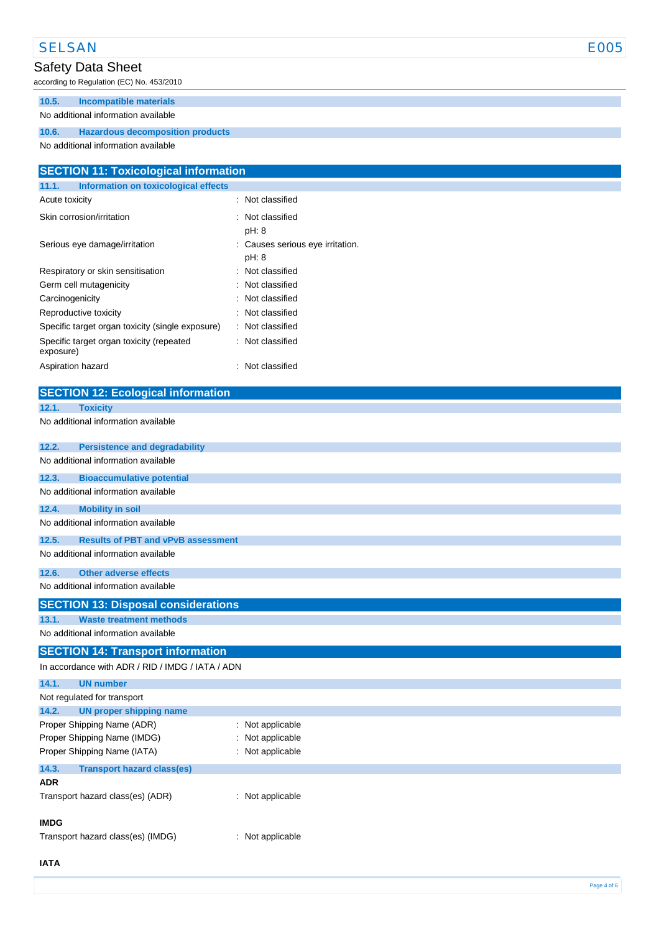#### SELSAN E005

## Safety Data Sheet

according to Regulation (EC) No. 453/2010

### **10.5. Incompatible materials**

#### No additional information available

#### **10.6. Hazardous decomposition products**

No additional information available

| <b>SECTION 11: Toxicological information</b>                    |                                         |  |  |
|-----------------------------------------------------------------|-----------------------------------------|--|--|
| 11.1.<br><b>Information on toxicological effects</b>            |                                         |  |  |
| Acute toxicity                                                  | : Not classified                        |  |  |
| Skin corrosion/irritation                                       | Not classified<br>pH: 8                 |  |  |
| Serious eye damage/irritation                                   | Causes serious eye irritation.<br>pH: 8 |  |  |
| Respiratory or skin sensitisation                               | Not classified                          |  |  |
| Germ cell mutagenicity                                          | Not classified                          |  |  |
| Carcinogenicity                                                 | Not classified                          |  |  |
| Reproductive toxicity                                           | Not classified                          |  |  |
| Specific target organ toxicity (single exposure)                | Not classified                          |  |  |
| Specific target organ toxicity (repeated<br>exposure)           | Not classified                          |  |  |
| Aspiration hazard                                               | : Not classified                        |  |  |
| <b>SECTION 12: Ecological information</b>                       |                                         |  |  |
|                                                                 |                                         |  |  |
| 12.1.<br><b>Toxicity</b><br>No additional information available |                                         |  |  |
|                                                                 |                                         |  |  |
| 12.2.<br><b>Persistence and degradability</b>                   |                                         |  |  |
| No additional information available                             |                                         |  |  |
| 12.3.<br><b>Bioaccumulative potential</b>                       |                                         |  |  |
| No additional information available                             |                                         |  |  |
| 12.4.<br><b>Mobility in soil</b>                                |                                         |  |  |
| No additional information available                             |                                         |  |  |
| 12.5.<br><b>Results of PBT and vPvB assessment</b>              |                                         |  |  |
| No additional information available                             |                                         |  |  |
| <b>Other adverse effects</b><br>12.6.                           |                                         |  |  |
| No additional information available                             |                                         |  |  |
| <b>SECTION 13: Disposal considerations</b>                      |                                         |  |  |
| <b>Waste treatment methods</b><br>13.1.                         |                                         |  |  |
| No additional information available                             |                                         |  |  |
| <b>SECTION 14: Transport information</b>                        |                                         |  |  |
| In accordance with ADR / RID / IMDG / IATA / ADN                |                                         |  |  |
| 14.1.<br><b>UN number</b>                                       |                                         |  |  |
| Not regulated for transport                                     |                                         |  |  |
| <b>UN proper shipping name</b><br>14.2.                         |                                         |  |  |
| Proper Shipping Name (ADR)                                      | : Not applicable                        |  |  |
| Proper Shipping Name (IMDG)                                     | Not applicable                          |  |  |
| Proper Shipping Name (IATA)                                     | : Not applicable                        |  |  |
| 14.3.<br><b>Transport hazard class(es)</b>                      |                                         |  |  |
| <b>ADR</b>                                                      |                                         |  |  |

#### **IMDG**

Transport hazard class(es) (IMDG) : Not applicable

#### **IATA**

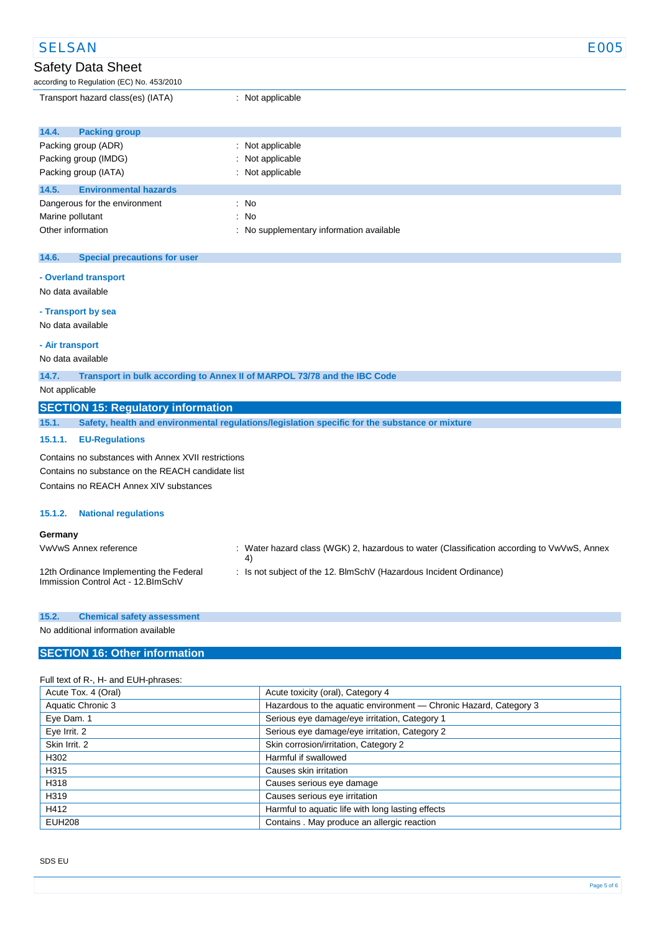| <b>SELSAN</b>                                                                     |                                                                                                  | <b>E005</b> |  |
|-----------------------------------------------------------------------------------|--------------------------------------------------------------------------------------------------|-------------|--|
| Safety Data Sheet                                                                 |                                                                                                  |             |  |
| according to Regulation (EC) No. 453/2010                                         |                                                                                                  |             |  |
| Transport hazard class(es) (IATA)                                                 | : Not applicable                                                                                 |             |  |
| 14.4.<br><b>Packing group</b>                                                     |                                                                                                  |             |  |
| Packing group (ADR)                                                               | : Not applicable                                                                                 |             |  |
| Packing group (IMDG)                                                              | Not applicable                                                                                   |             |  |
| Packing group (IATA)                                                              | Not applicable                                                                                   |             |  |
| 14.5.<br><b>Environmental hazards</b>                                             |                                                                                                  |             |  |
| Dangerous for the environment                                                     | $\therefore$ No                                                                                  |             |  |
| Marine pollutant                                                                  | No                                                                                               |             |  |
| Other information                                                                 | No supplementary information available                                                           |             |  |
|                                                                                   |                                                                                                  |             |  |
| 14.6.<br><b>Special precautions for user</b>                                      |                                                                                                  |             |  |
| - Overland transport                                                              |                                                                                                  |             |  |
| No data available                                                                 |                                                                                                  |             |  |
| - Transport by sea                                                                |                                                                                                  |             |  |
| No data available                                                                 |                                                                                                  |             |  |
| - Air transport                                                                   |                                                                                                  |             |  |
| No data available                                                                 |                                                                                                  |             |  |
| 14.7.<br>Transport in bulk according to Annex II of MARPOL 73/78 and the IBC Code |                                                                                                  |             |  |
| Not applicable                                                                    |                                                                                                  |             |  |
| <b>SECTION 15: Regulatory information</b>                                         |                                                                                                  |             |  |
| 15.1.                                                                             | Safety, health and environmental regulations/legislation specific for the substance or mixture   |             |  |
| 15.1.1.<br><b>EU-Regulations</b>                                                  |                                                                                                  |             |  |
| Contains no substances with Annex XVII restrictions                               |                                                                                                  |             |  |
| Contains no substance on the REACH candidate list                                 |                                                                                                  |             |  |
| Contains no REACH Annex XIV substances                                            |                                                                                                  |             |  |
|                                                                                   |                                                                                                  |             |  |
| 15.1.2.<br><b>National regulations</b>                                            |                                                                                                  |             |  |
| Germany                                                                           |                                                                                                  |             |  |
| VwVwS Annex reference                                                             | : Water hazard class (WGK) 2, hazardous to water (Classification according to VwVwS, Annex<br>4) |             |  |
| 12th Ordinance Implementing the Federal                                           | Is not subject of the 12. BlmSchV (Hazardous Incident Ordinance)                                 |             |  |

Immission Control Act - 12.BImSchV

No additional information available

#### **SECTION 16: Other information**

#### Full text of R-, H- and EUH-phrases:

| Acute Tox. 4 (Oral) | Acute toxicity (oral), Category 4                                 |
|---------------------|-------------------------------------------------------------------|
| Aquatic Chronic 3   | Hazardous to the aquatic environment - Chronic Hazard, Category 3 |
| Eye Dam. 1          | Serious eye damage/eye irritation, Category 1                     |
| Eye Irrit. 2        | Serious eye damage/eye irritation, Category 2                     |
| Skin Irrit. 2       | Skin corrosion/irritation, Category 2                             |
| H302                | Harmful if swallowed                                              |
| H315                | Causes skin irritation                                            |
| H318                | Causes serious eye damage                                         |
| H319                | Causes serious eye irritation                                     |
| H412                | Harmful to aquatic life with long lasting effects                 |
| <b>EUH208</b>       | Contains . May produce an allergic reaction                       |